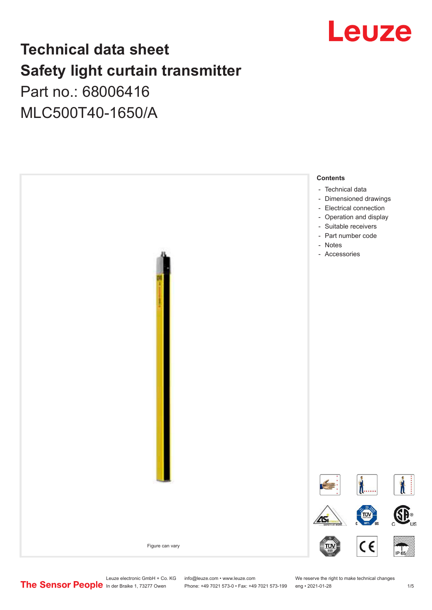

# **Technical data sheet Safety light curtain transmitter**

# Part no.: 68006416 MLC500T40-1650/A



Leuze electronic GmbH + Co. KG info@leuze.com • www.leuze.com We reserve the right to make technical changes<br>
The Sensor People in der Braike 1, 73277 Owen Phone: +49 7021 573-0 • Fax: +49 7021 573-199 eng • 2021-01-28

Phone: +49 7021 573-0 • Fax: +49 7021 573-199 eng • 2021-01-28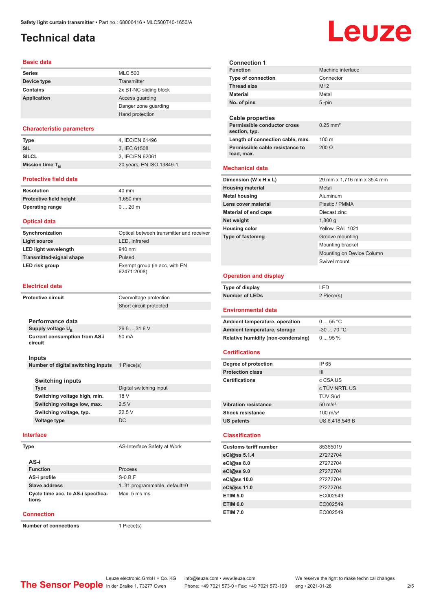# <span id="page-1-0"></span>**Technical data**

#### **Basic data**

| <b>Series</b> | <b>MLC 500</b>         |
|---------------|------------------------|
| Device type   | Transmitter            |
| Contains      | 2x BT-NC sliding block |
| Application   | Access quarding        |
|               | Danger zone guarding   |
|               | Hand protection        |

#### **Characteristic parameters**

| Type                 | 4. IEC/EN 61496          |
|----------------------|--------------------------|
| SIL                  | 3. IEC 61508             |
| <b>SILCL</b>         | 3, IEC/EN 62061          |
| Mission time $T_{M}$ | 20 years, EN ISO 13849-1 |

#### **Protective field data**

| Resolution              | 40 mm    |
|-------------------------|----------|
| Protective field height | 1.650 mm |
| <b>Operating range</b>  | $020$ m  |

#### **Optical data**

| Synchronization                 | Optical between transmitter and receiver     |
|---------------------------------|----------------------------------------------|
| Light source                    | LED, Infrared                                |
| <b>LED light wavelength</b>     | 940 nm                                       |
| <b>Transmitted-signal shape</b> | Pulsed                                       |
| LED risk group                  | Exempt group (in acc. with EN<br>62471:2008) |

#### **Electrical data**

| <b>Protective circuit</b> |                                                 | Overvoltage protection      |
|---------------------------|-------------------------------------------------|-----------------------------|
|                           |                                                 | Short circuit protected     |
|                           |                                                 |                             |
|                           | Performance data                                |                             |
|                           | Supply voltage $U_{B}$                          | 26.5  31.6 V                |
|                           | <b>Current consumption from AS-i</b><br>circuit | 50 mA                       |
|                           | Inputs                                          |                             |
|                           | Number of digital switching inputs              | 1 Piece(s)                  |
|                           |                                                 |                             |
|                           | <b>Switching inputs</b>                         |                             |
|                           | <b>Type</b>                                     | Digital switching input     |
|                           | Switching voltage high, min.                    | 18 V                        |
|                           | Switching voltage low, max.                     | 2.5V                        |
|                           | Switching voltage, typ.                         | 22.5V                       |
|                           | <b>Voltage type</b>                             | DC                          |
|                           | <b>Interface</b>                                |                             |
|                           | Type                                            | AS-Interface Safety at Work |

| AS-i                                        |                              |
|---------------------------------------------|------------------------------|
| <b>Function</b>                             | Process                      |
| AS-i profile                                | $S-0.B.F$                    |
| Slave address                               | 1.31 programmable, default=0 |
| Cycle time acc. to AS-i specifica-<br>tions | Max. 5 ms ms                 |

#### **Connection**

**Number of connections** 1 Piece(s)

| <b>Connection 1</b>                                                       |                            |
|---------------------------------------------------------------------------|----------------------------|
| <b>Function</b>                                                           | Machine interface          |
| <b>Type of connection</b>                                                 | Connector                  |
| <b>Thread size</b>                                                        | M <sub>12</sub>            |
| <b>Material</b>                                                           | Metal                      |
| No. of pins                                                               | 5-pin                      |
|                                                                           |                            |
| <b>Cable properties</b>                                                   |                            |
| Permissible conductor cross<br>section, typ.                              | $0.25$ mm <sup>2</sup>     |
| Length of connection cable, max.                                          | 100 m                      |
| Permissible cable resistance to                                           | $200 \Omega$               |
| load, max.                                                                |                            |
| <b>Mechanical data</b>                                                    |                            |
| Dimension (W x H x L)                                                     | 29 mm x 1,716 mm x 35.4 mm |
| <b>Housing material</b>                                                   | Metal                      |
| <b>Metal housing</b>                                                      | Aluminum                   |
| Lens cover material                                                       | Plastic / PMMA             |
| <b>Material of end caps</b>                                               | Diecast zinc               |
| Net weight                                                                | $1,800$ g                  |
| <b>Housing color</b>                                                      | Yellow, RAL 1021           |
| Type of fastening                                                         | Groove mounting            |
|                                                                           | Mounting bracket           |
|                                                                           | Mounting on Device Column  |
|                                                                           | Swivel mount               |
|                                                                           |                            |
| <b>Operation and display</b>                                              |                            |
|                                                                           |                            |
| Type of display                                                           | LED                        |
| <b>Number of LEDs</b>                                                     | 2 Piece(s)                 |
| <b>Environmental data</b>                                                 |                            |
|                                                                           | 055 °C                     |
| Ambient temperature, operation                                            | $-30$ 70 °C                |
| Ambient temperature, storage                                              | 095%                       |
| Relative humidity (non-condensing)                                        |                            |
| <b>Certifications</b>                                                     |                            |
|                                                                           | IP 65                      |
| Degree of protection<br><b>Protection class</b>                           | Ш                          |
| <b>Certifications</b>                                                     | c CSA US                   |
|                                                                           | c TÜV NRTL US              |
|                                                                           | TÜV Süd                    |
| <b>Vibration resistance</b>                                               | $50 \text{ m/s}^2$         |
| Shock resistance                                                          | $100 \text{ m/s}^2$        |
| US patents                                                                | US 6,418,546 B             |
| <b>Classification</b>                                                     |                            |
|                                                                           |                            |
| <b>Customs tariff number</b>                                              | 85365019                   |
| eCl@ss 5.1.4                                                              | 27272704                   |
|                                                                           | 27272704                   |
|                                                                           | 27272704                   |
|                                                                           | 27272704                   |
| eCl@ss 8.0<br>eCl@ss 9.0<br>eCl@ss 10.0<br>eCl@ss 11.0<br><b>ETIM 5.0</b> | 27272704<br>EC002549       |
| <b>ETIM 6.0</b>                                                           | EC002549                   |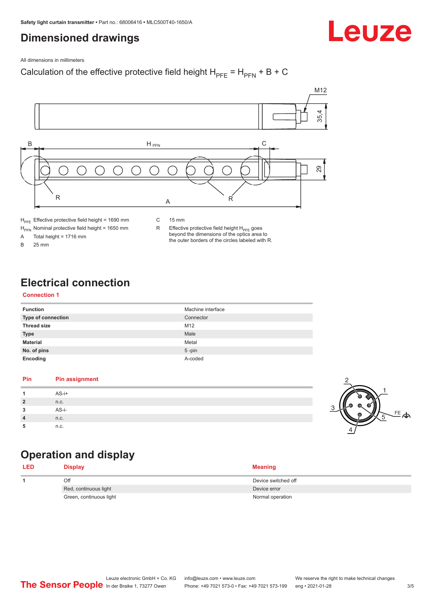# <span id="page-2-0"></span>**Dimensioned drawings**

Leuze

All dimensions in millimeters

### Calculation of the effective protective field height  $H_{PFE} = H_{PFN} + B + C$



 $H_{\text{PFN}}$  Nominal protective field height = 1650 mm<br>A Total height = 1716 mm

Total height =  $1716$  mm

B 25 mm

R Effective protective field height  $H_{PFE}$  goes beyond the dimensions of the optics area to the outer borders of the circles labeled with R.

# **Electrical connection**

#### **Connection 1**

| <b>Function</b>    | Machine interface |
|--------------------|-------------------|
| Type of connection | Connector         |
| <b>Thread size</b> | M12               |
| <b>Type</b>        | Male              |
| <b>Material</b>    | Metal             |
| No. of pins        | $5$ -pin          |
| Encoding           | A-coded           |

#### **Pin Pin assignment 1** AS-i+ **2** n.c. **3** AS-i-**4** n.c. **5** n.c.



# **Operation and display**

| <b>LED</b> | <b>Display</b>          | <b>Meaning</b>      |
|------------|-------------------------|---------------------|
|            | Off                     | Device switched off |
|            | Red, continuous light   | Device error        |
|            | Green, continuous light | Normal operation    |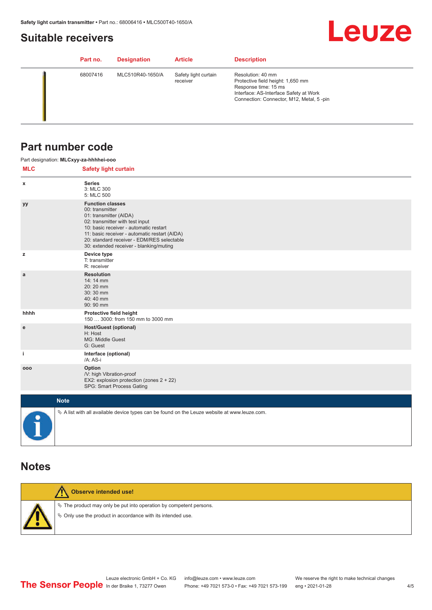# <span id="page-3-0"></span>**Suitable receivers**

# **Leuze**

| Part no. | <b>Designation</b> | <b>Article</b>                   | <b>Description</b>                                                                                                                                                   |
|----------|--------------------|----------------------------------|----------------------------------------------------------------------------------------------------------------------------------------------------------------------|
| 68007416 | MLC510R40-1650/A   | Safety light curtain<br>receiver | Resolution: 40 mm<br>Protective field height: 1,650 mm<br>Response time: 15 ms<br>Interface: AS-Interface Safety at Work<br>Connection: Connector, M12, Metal, 5-pin |

# **Part number code**

|            | Part designation: MLCxyy-za-hhhhei-ooo                                                                                                                                                                                                                                                      |
|------------|---------------------------------------------------------------------------------------------------------------------------------------------------------------------------------------------------------------------------------------------------------------------------------------------|
| <b>MLC</b> | <b>Safety light curtain</b>                                                                                                                                                                                                                                                                 |
| х          | <b>Series</b><br>3: MLC 300<br>5: MLC 500                                                                                                                                                                                                                                                   |
| уу         | <b>Function classes</b><br>00: transmitter<br>01: transmitter (AIDA)<br>02: transmitter with test input<br>10: basic receiver - automatic restart<br>11: basic receiver - automatic restart (AIDA)<br>20: standard receiver - EDM/RES selectable<br>30: extended receiver - blanking/muting |
| z          | Device type<br>T: transmitter<br>R: receiver                                                                                                                                                                                                                                                |
| a          | <b>Resolution</b><br>14:14 mm<br>20:20 mm<br>30:30 mm<br>40:40 mm<br>90: 90 mm                                                                                                                                                                                                              |
| hhhh       | Protective field height<br>150  3000: from 150 mm to 3000 mm                                                                                                                                                                                                                                |
| e          | <b>Host/Guest (optional)</b><br>H: Host<br>MG: Middle Guest<br>G: Guest                                                                                                                                                                                                                     |
| j.         | Interface (optional)<br>/A: AS-i                                                                                                                                                                                                                                                            |
| 000        | Option<br>/V: high Vibration-proof<br>EX2: explosion protection (zones 2 + 22)<br>SPG: Smart Process Gating                                                                                                                                                                                 |
|            | <b>Note</b>                                                                                                                                                                                                                                                                                 |
|            | $\&$ A list with all available device types can be found on the Leuze website at www.leuze.com.                                                                                                                                                                                             |

## **Notes**

| Observe intended use!                                                                                                                |
|--------------------------------------------------------------------------------------------------------------------------------------|
| $\&$ The product may only be put into operation by competent persons.<br>§ Only use the product in accordance with its intended use. |